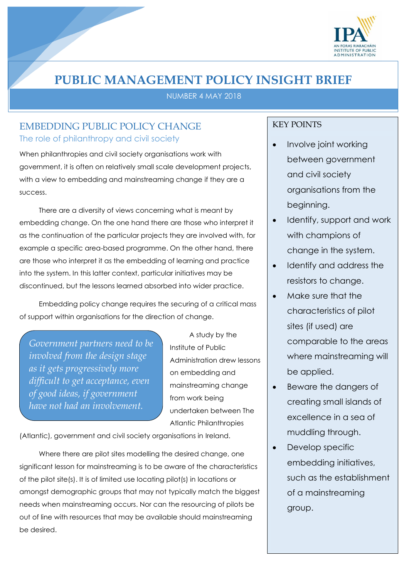

# **PUBLIC MANAGEMENT POLICY INSIGHT BRIEF**

NUMBER 4 MAY 2018

## EMBEDDING PUBLIC POLICY CHANGE The role of philanthropy and civil society

When philanthropies and civil society organisations work with government, it is often on relatively small scale development projects, with a view to embedding and mainstreaming change if they are a success.

There are a diversity of views concerning what is meant by embedding change. On the one hand there are those who interpret it as the continuation of the particular projects they are involved with, for example a specific area-based programme. On the other hand, there are those who interpret it as the embedding of learning and practice into the system. In this latter context, particular initiatives may be discontinued, but the lessons learned absorbed into wider practice.

Embedding policy change requires the securing of a critical mass of support within organisations for the direction of change.

*Government partners need to be involved from the design stage as it gets progressively more difficult to get acceptance, even of good ideas, if government have not had an involvement.*

A study by the Institute of Public Administration drew lessons on embedding and mainstreaming change from work being undertaken between The Atlantic Philanthropies

(Atlantic), government and civil society organisations in Ireland.

Where there are pilot sites modelling the desired change, one significant lesson for mainstreaming is to be aware of the characteristics of the pilot site(s). It is of limited use locating pilot(s) in locations or amongst demographic groups that may not typically match the biggest needs when mainstreaming occurs. Nor can the resourcing of pilots be out of line with resources that may be available should mainstreaming be desired.

### KEY POINTS

- Involve joint working between government and civil society organisations from the beginning.
- Identify, support and work with champions of change in the system.
- Identify and address the resistors to change.
- Make sure that the characteristics of pilot sites (if used) are comparable to the areas where mainstreaming will be applied.
- Beware the dangers of creating small islands of excellence in a sea of muddling through.
- Develop specific embedding initiatives, such as the establishment of a mainstreaming group.